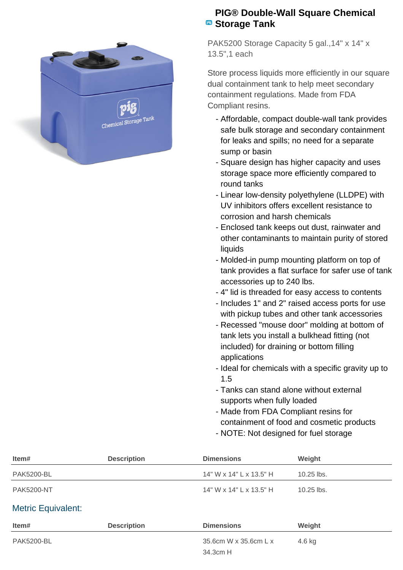

## **PIG® Double-Wall Square Chemical B** Storage Tank

PAK5200 Storage Capacity 5 gal., 14" x 14" x 13.5",1 each

Store process liquids more efficiently in our square dual containment tank to help meet secondary containment regulations. Made from FDA Compliant resins.

- Affordable, compact double-wall tank provides safe bulk storage and secondary containment for leaks and spills; no need for a separate sump or basin
- Square design has higher capacity and uses storage space more efficiently compared to round tanks
- Linear low-density polyethylene (LLDPE) with UV inhibitors offers excellent resistance to corrosion and harsh chemicals
- Enclosed tank keeps out dust, rainwater and other contaminants to maintain purity of stored liquids
- Molded-in pump mounting platform on top of tank provides a flat surface for safer use of tank accessories up to 240 lbs.
- 4" lid is threaded for easy access to contents
- Includes 1" and 2" raised access ports for use with pickup tubes and other tank accessories
- Recessed "mouse door" molding at bottom of tank lets you install a bulkhead fitting (not included) for draining or bottom filling applications
- Ideal for chemicals with a specific gravity up to 1.5
- Tanks can stand alone without external supports when fully loaded
- Made from FDA Compliant resins for containment of food and cosmetic products
- NOTE: Not designed for fuel storage

| Item#                     | <b>Description</b> | <b>Dimensions</b>       | Weight       |  |
|---------------------------|--------------------|-------------------------|--------------|--|
| <b>PAK5200-BL</b>         |                    | 14" W x 14" L x 13.5" H | $10.25$ lbs. |  |
| <b>PAK5200-NT</b>         |                    | 14" W x 14" L x 13.5" H | $10.25$ lbs. |  |
| <b>Metric Equivalent:</b> |                    |                         |              |  |
| Item#                     | <b>Description</b> | <b>Dimensions</b>       | Weight       |  |
| <b>PAK5200-BL</b>         |                    | 35.6cm W x 35.6cm L x   | 4.6 kg       |  |
|                           |                    | 34.3cm H                |              |  |